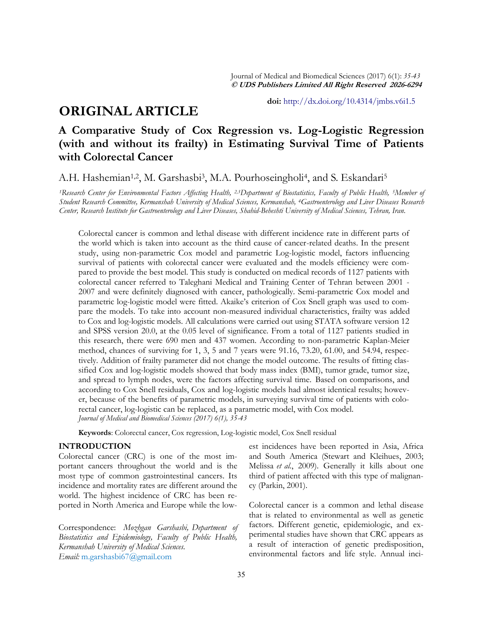# **ORIGINAL ARTICLE**

**doi:** [http://dx.doi.org/10.4314/jmbs.v6i1.5](http://dx.doi.org/10.4314/jmbs.v2i4.1)

## **A Comparative Study of Cox Regression vs. Log-Logistic Regression (with and without its frailty) in Estimating Survival Time of Patients with Colorectal Cancer**

A.H. Hashemian<sup>1,2</sup>, M. Garshasbi<sup>3</sup>, M.A. Pourhoseingholi<sup>4</sup>, and S. Eskandari<sup>5</sup>

*<sup>1</sup>Research Center for Environmental Factors Affecting Health, 2,3Department of Biostatistics, Faculty of Public Health, 5Member of Student Research Committee, Kermanshah University of Medical Sciences, Kermanshah, 4Gastroenterology and Liver Diseases Research Center, Research Institute for Gastroenterology and Liver Diseases, Shahid-Beheshti University of Medical Sciences, Tehran, Iran.*

Colorectal cancer is common and lethal disease with different incidence rate in different parts of the world which is taken into account as the third cause of cancer-related deaths. In the present study, using non-parametric Cox model and parametric Log-logistic model, factors influencing survival of patients with colorectal cancer were evaluated and the models efficiency were compared to provide the best model. This study is conducted on medical records of 1127 patients with colorectal cancer referred to Taleghani Medical and Training Center of Tehran between 2001 - 2007 and were definitely diagnosed with cancer, pathologically. Semi-parametric Cox model and parametric log-logistic model were fitted. Akaike's criterion of Cox Snell graph was used to compare the models. To take into account non-measured individual characteristics, frailty was added to Cox and log-logistic models. All calculations were carried out using STATA software version 12 and SPSS version 20.0, at the 0.05 level of significance. From a total of 1127 patients studied in this research, there were 690 men and 437 women. According to non-parametric Kaplan-Meier method, chances of surviving for 1, 3, 5 and 7 years were 91.16, 73.20, 61.00, and 54.94, respectively. Addition of frailty parameter did not change the model outcome. The results of fitting classified Cox and log-logistic models showed that body mass index (BMI), tumor grade, tumor size, and spread to lymph nodes, were the factors affecting survival time. Based on comparisons, and according to Cox Snell residuals, Cox and log-logistic models had almost identical results; however, because of the benefits of parametric models, in surveying survival time of patients with colorectal cancer, log-logistic can be replaced, as a parametric model, with Cox model. *Journal of Medical and Biomedical Sciences (2017) 6(1), 35-43*

**Keywords**: Colorectal cancer, Cox regression, Log-logistic model, Cox Snell residual

## **INTRODUCTION**

Colorectal cancer (CRC) is one of the most important cancers throughout the world and is the most type of common gastrointestinal cancers. Its incidence and mortality rates are different around the world. The highest incidence of CRC has been reported in North America and Europe while the low-

Correspondence: *Mozhgan Garshasbi, Department of Biostatistics and Epidemiology, Faculty of Public Health, Kermanshah University of Medical Sciences. Email:* m[.garshasbi67@gmail.com](mailto:garshasbi67@gmail.com)

est incidences have been reported in Asia, Africa and South America (Stewart and Kleihues, 2003; Melissa *et al.*, 2009). Generally it kills about one third of patient affected with this type of malignancy (Parkin, 2001).

Colorectal cancer is a common and lethal disease that is related to environmental as well as genetic factors. Different genetic, epidemiologic, and experimental studies have shown that CRC appears as a result of interaction of genetic predisposition, environmental factors and life style. Annual inci-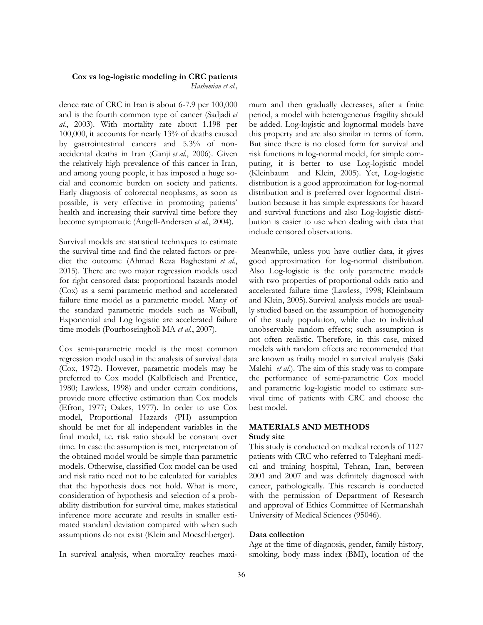*Hashemian et al.,*

dence rate of CRC in Iran is about 6-7.9 per 100,000 and is the fourth common type of cancer (Sadjadi *et al.*, 2003). With mortality rate about 1.198 per 100,000, it accounts for nearly 13% of deaths caused by gastrointestinal cancers and 5.3% of nonaccidental deaths in Iran (Ganji *et al.*, 2006). Given the relatively high prevalence of this cancer in Iran, and among young people, it has imposed a huge social and economic burden on society and patients. Early diagnosis of colorectal neoplasms, as soon as possible, is very effective in promoting patients' health and increasing their survival time before they become symptomatic (Angell-Andersen *et al.*, 2004).

Survival models are statistical techniques to estimate the survival time and find the related factors or predict the outcome (Ahmad Reza Baghestani *et al.*, 2015). There are two major regression models used for right censored data: proportional hazards model (Cox) as a semi parametric method and accelerated failure time model as a parametric model. Many of the standard parametric models such as Weibull, Exponential and Log logistic are accelerated failure time models (Pourhoseingholi MA *et al.*, 2007).

Cox semi-parametric model is the most common regression model used in the analysis of survival data (Cox, 1972). However, parametric models may be preferred to Cox model (Kalbfleisch and Prentice, 1980; Lawless, 1998) and under certain conditions, provide more effective estimation than Cox models (Efron, 1977; Oakes, 1977). In order to use Cox model, Proportional Hazards (PH) assumption should be met for all independent variables in the final model, i.e. risk ratio should be constant over time. In case the assumption is met, interpretation of the obtained model would be simple than parametric models. Otherwise, classified Cox model can be used and risk ratio need not to be calculated for variables that the hypothesis does not hold. What is more, consideration of hypothesis and selection of a probability distribution for survival time, makes statistical inference more accurate and results in smaller estimated standard deviation compared with when such assumptions do not exist (Klein and Moeschberger).

In survival analysis, when mortality reaches maxi-

mum and then gradually decreases, after a finite period, a model with heterogeneous fragility should be added. Log-logistic and lognormal models have this property and are also similar in terms of form. But since there is no closed form for survival and risk functions in log-normal model, for simple computing, it is better to use Log-logistic model (Kleinbaum and Klein, 2005). Yet, Log-logistic distribution is a good approximation for log-normal distribution and is preferred over lognormal distribution because it has simple expressions for hazard and survival functions and also Log-logistic distribution is easier to use when dealing with data that include censored observations.

Meanwhile, unless you have outlier data, it gives good approximation for log-normal distribution. Also Log-logistic is the only parametric models with two properties of proportional odds ratio and accelerated failure time (Lawless, 1998; Kleinbaum and Klein, 2005). Survival analysis models are usually studied based on the assumption of homogeneity of the study population, while due to individual unobservable random effects; such assumption is not often realistic. Therefore, in this case, mixed models with random effects are recommended that are known as frailty model in survival analysis (Saki Malehi *et al.*). The aim of this study was to compare the performance of semi-parametric Cox model and parametric log-logistic model to estimate survival time of patients with CRC and choose the best model.

## **MATERIALS AND METHODS**

#### **Study site**

This study is conducted on medical records of 1127 patients with CRC who referred to Taleghani medical and training hospital, Tehran, Iran, between 2001 and 2007 and was definitely diagnosed with cancer, pathologically. This research is conducted with the permission of Department of Research and approval of Ethics Committee of Kermanshah University of Medical Sciences (95046).

#### **Data collection**

Age at the time of diagnosis, gender, family history, smoking, body mass index (BMI), location of the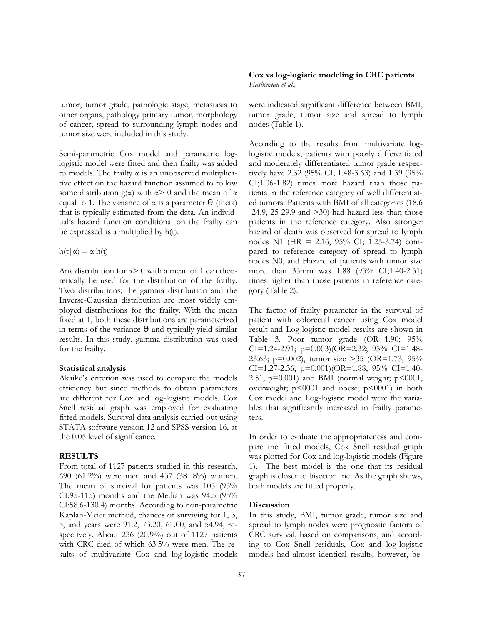tumor, tumor grade, pathologic stage, metastasis to other organs, pathology primary tumor, morphology of cancer, spread to surrounding lymph nodes and tumor size were included in this study.

Semi-parametric Cox model and parametric loglogistic model were fitted and then frailty was added to models. The frailty α is an unobserved multiplicative effect on the hazard function assumed to follow some distribution  $g(\alpha)$  with  $\alpha > 0$  and the mean of  $\alpha$ equal to 1. The variance of  $\alpha$  is a parameter  $\theta$  (theta) that is typically estimated from the data. An individual's hazard function conditional on the frailty can be expressed as a multiplied by h(t).

 $h(t|\alpha) = \alpha h(t)$ 

Any distribution for  $\alpha$  > 0 with a mean of 1 can theoretically be used for the distribution of the frailty. Two distributions; the gamma distribution and the Inverse-Gaussian distribution are most widely employed distributions for the frailty. With the mean fixed at 1, both these distributions are parameterized in terms of the variance  $\theta$  and typically yield similar results. In this study, gamma distribution was used for the frailty.

#### **Statistical analysis**

Akaike's criterion was used to compare the models efficiency but since methods to obtain parameters are different for Cox and log-logistic models, Cox Snell residual graph was employed for evaluating fitted models. Survival data analysis carried out using STATA software version 12 and SPSS version 16, at the 0.05 level of significance.

#### **RESULTS**

From total of 1127 patients studied in this research, 690 (61.2%) were men and 437 (38. 8%) women. The mean of survival for patients was 105 (95% CI:95-115) months and the Median was 94.5 (95% CI:58.6-130.4) months. According to non-parametric Kaplan-Meier method, chances of surviving for 1, 3, 5, and years were 91.2, 73.20, 61.00, and 54.94, respectively. About 236 (20.9%) out of 1127 patients with CRC died of which 63.5% were men. The results of multivariate Cox and log-logistic models

#### **Cox vs log-logistic modeling in CRC patients**  *Hashemian et al.,*

were indicated significant difference between BMI, tumor grade, tumor size and spread to lymph nodes (Table 1).

According to the results from multivariate loglogistic models, patients with poorly differentiated and moderately differentiated tumor grade respectively have 2.32 (95% CI; 1.48-3.63) and 1.39 (95% CI;1.06-1.82) times more hazard than those patients in the reference category of well differentiated tumors. Patients with BMI of all categories (18.6  $-24.9$ , 25-29.9 and  $>30$ ) had hazard less than those patients in the reference category. Also stronger hazard of death was observed for spread to lymph nodes N1 (HR = 2.16, 95% CI; 1.25-3.74) compared to reference category of spread to lymph nodes N0, and Hazard of patients with tumor size more than 35mm was 1.88 (95% CI;1.40-2.51) times higher than those patients in reference category (Table 2).

The factor of frailty parameter in the survival of patient with colorectal cancer using Cox model result and Log-logistic model results are shown in Table 3. Poor tumor grade (OR=1.90; 95% CI=1.24-2.91;  $p=0.003$ )(OR=2.32; 95% CI=1.48-23.63; p=0.002), tumor size >35 (OR=1.73; 95% CI=1.27-2.36;  $p=0.001$ )(OR=1.88; 95% CI=1.40-2.51;  $p=0.001$ ) and BMI (normal weight;  $p<0001$ , overweight; p<0001 and obese; p<0001) in both Cox model and Log-logistic model were the variables that significantly increased in frailty parameters.

In order to evaluate the appropriateness and compare the fitted models, Cox Snell residual graph was plotted for Cox and log-logistic models (Figure 1). The best model is the one that its residual graph is closer to bisector line. As the graph shows, both models are fitted properly.

#### **Discussion**

In this study, BMI, tumor grade, tumor size and spread to lymph nodes were prognostic factors of CRC survival, based on comparisons, and according to Cox Snell residuals, Cox and log-logistic models had almost identical results; however, be-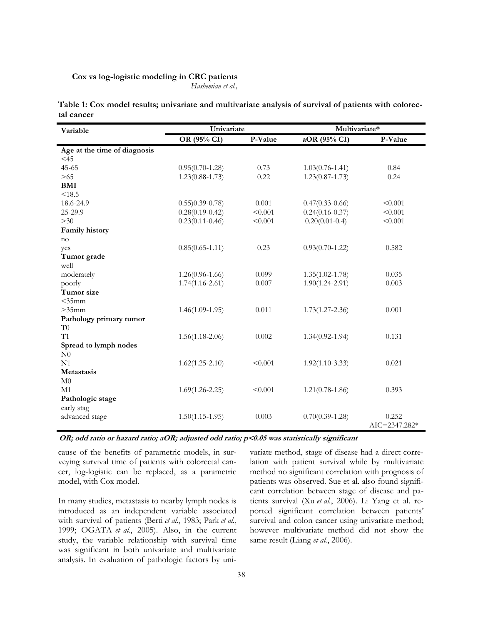*Hashemian et al.,*

**Table 1: Cox model results; univariate and multivariate analysis of survival of patients with colorectal cancer**

| Variable                     | Univariate          |         | Multivariate*       |                        |
|------------------------------|---------------------|---------|---------------------|------------------------|
|                              | OR (95% CI)         | P-Value | aOR (95% CI)        | P-Value                |
| Age at the time of diagnosis |                     |         |                     |                        |
| $<$ 45                       |                     |         |                     |                        |
| $45 - 65$                    | $0.95(0.70-1.28)$   | 0.73    | $1.03(0.76 - 1.41)$ | 0.84                   |
| >65                          | $1.23(0.88 - 1.73)$ | 0.22    | $1.23(0.87 - 1.73)$ | 0.24                   |
| BMI                          |                     |         |                     |                        |
| < 18.5                       |                     |         |                     |                        |
| 18.6-24.9                    | $(0.55)0.39 - 0.78$ | 0.001   | $0.47(0.33-0.66)$   | < 0.001                |
| 25-29.9                      | $0.28(0.19 - 0.42)$ | < 0.001 | $0.24(0.16 - 0.37)$ | < 0.001                |
| $>30$                        | $0.23(0.11 - 0.46)$ | < 0.001 | $0.20(0.01 - 0.4)$  | < 0.001                |
| Family history               |                     |         |                     |                        |
| no                           |                     |         |                     |                        |
| yes                          | $0.85(0.65 - 1.11)$ | 0.23    | $0.93(0.70-1.22)$   | 0.582                  |
| Tumor grade                  |                     |         |                     |                        |
| well                         |                     |         |                     |                        |
| moderately                   | $1.26(0.96 - 1.66)$ | 0.099   | $1.35(1.02 - 1.78)$ | 0.035                  |
| poorly                       | $1.74(1.16 - 2.61)$ | 0.007   | $1.90(1.24 - 2.91)$ | 0.003                  |
| Tumor size                   |                     |         |                     |                        |
| $<$ 35 $mm$                  |                     |         |                     |                        |
| $>35$ mm                     | $1.46(1.09-1.95)$   | 0.011   | $1.73(1.27 - 2.36)$ | 0.001                  |
| Pathology primary tumor      |                     |         |                     |                        |
| T <sub>0</sub>               |                     |         |                     |                        |
| T1                           | $1.56(1.18-2.06)$   | 0.002   | $1.34(0.92 - 1.94)$ | 0.131                  |
| Spread to lymph nodes        |                     |         |                     |                        |
| N <sub>0</sub>               |                     |         |                     |                        |
| N <sub>1</sub>               | $1.62(1.25 - 2.10)$ | < 0.001 | $1.92(1.10-3.33)$   | 0.021                  |
| Metastasis                   |                     |         |                     |                        |
| M <sub>0</sub>               |                     |         |                     |                        |
| M1                           | $1.69(1.26 - 2.25)$ | < 0.001 | $1.21(0.78-1.86)$   | 0.393                  |
| Pathologic stage             |                     |         |                     |                        |
| early stag                   |                     |         |                     |                        |
| advanced stage               | $1.50(1.15-1.95)$   | 0.003   | $0.70(0.39-1.28)$   | 0.252<br>AIC=2347.282* |

OR; odd ratio or hazard ratio; aOR; adjusted odd ratio; p<0.05 was statistically significant

cause of the benefits of parametric models, in surveying survival time of patients with colorectal cancer, log-logistic can be replaced, as a parametric model, with Cox model.

In many studies, metastasis to nearby lymph nodes is introduced as an independent variable associated with survival of patients (Berti *et al.*, 1983; Park *et al.*, 1999; OGATA *et al.*, 2005). Also, in the current study, the variable relationship with survival time was significant in both univariate and multivariate analysis. In evaluation of pathologic factors by univariate method, stage of disease had a direct correlation with patient survival while by multivariate method no significant correlation with prognosis of patients was observed. Sue et al. also found significant correlation between stage of disease and patients survival (Xu *et al.*, 2006). Li Yang et al. reported significant correlation between patients' survival and colon cancer using univariate method; however multivariate method did not show the same result (Liang *et al.*, 2006).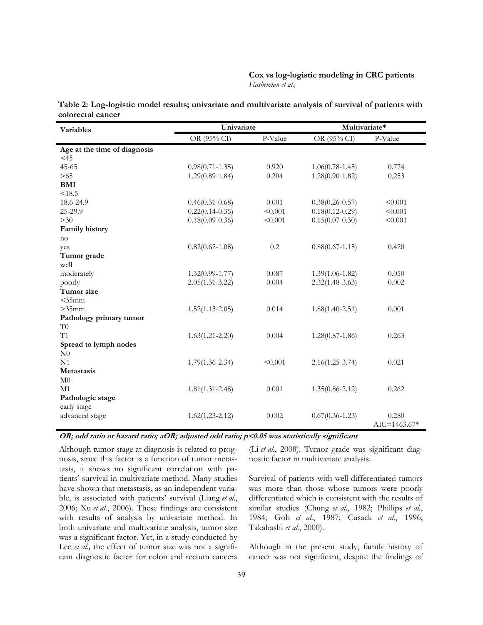### **Cox vs log-logistic modeling in CRC patients**  *Hashemian et al.,*

| <b>Variables</b>             | Univariate          |         | Multivariate*       |                           |
|------------------------------|---------------------|---------|---------------------|---------------------------|
|                              | OR (95% CI)         | P-Value | OR (95% CI)         | P-Value                   |
| Age at the time of diagnosis |                     |         |                     |                           |
| $<$ 45                       |                     |         |                     |                           |
| $45 - 65$                    | $0.98(0.71 - 1.35)$ | 0.920   | $1.06(0.78-1.45)$   | 0.774                     |
| >65                          | $1.29(0.89 - 1.84)$ | 0.204   | $1.28(0.90 - 1.82)$ | 0.253                     |
| <b>BMI</b>                   |                     |         |                     |                           |
| < 18.5                       |                     |         |                     |                           |
| 18.6-24.9                    | $0.46(0.31 - 0.68)$ | 0.001   | $0.38(0.26 - 0.57)$ | < 0.001                   |
| 25-29.9                      | $0.22(0.14 - 0.35)$ | < 0.001 | $0.18(0.12 - 0.29)$ | < 0.001                   |
| $>30$                        | $0.18(0.09 - 0.36)$ | < 0.001 | $0.15(0.07 - 0.30)$ | < 0.001                   |
| Family history               |                     |         |                     |                           |
| no                           |                     |         |                     |                           |
| yes                          | $0.82(0.62 - 1.08)$ | 0.2     | $0.88(0.67 - 1.15)$ | 0.420                     |
| Tumor grade                  |                     |         |                     |                           |
| well                         |                     |         |                     |                           |
| moderately                   | $1.32(0.99 - 1.77)$ | 0.087   | $1.39(1.06 - 1.82)$ | 0.050                     |
| poorly                       | $2.05(1.31 - 3.22)$ | 0.004   | $2.32(1.48-3.63)$   | 0.002                     |
| Tumor size                   |                     |         |                     |                           |
| $<$ 35 $mm$                  |                     |         |                     |                           |
| $>35$ mm                     | $1.52(1.13 - 2.05)$ | 0.014   | $1.88(1.40 - 2.51)$ | 0.001                     |
| Pathology primary tumor      |                     |         |                     |                           |
| T <sub>0</sub>               |                     |         |                     |                           |
| T1                           | $1.63(1.21 - 2.20)$ | 0.004   | $1.28(0.87 - 1.86)$ | 0.263                     |
| Spread to lymph nodes        |                     |         |                     |                           |
| N <sub>0</sub>               |                     |         |                     |                           |
| N <sub>1</sub>               | $1.79(1.36 - 2.34)$ | < 0.001 | $2.16(1.25 - 3.74)$ | 0.021                     |
| <b>Metastasis</b>            |                     |         |                     |                           |
| M <sub>0</sub>               |                     |         |                     |                           |
| M1                           | $1.81(1.31 - 2.48)$ | 0.001   | $1.35(0.86 - 2.12)$ | 0.262                     |
| Pathologic stage             |                     |         |                     |                           |
| early stage                  |                     |         |                     |                           |
| advanced stage               | $1.62(1.23 - 2.12)$ | 0.002   | $0.67(0.36 - 1.23)$ | 0.280<br>$AIC = 1463.67*$ |

**Table 2: Log-logistic model results; univariate and multivariate analysis of survival of patients with colorectal cancer**

**OR; odd ratio or hazard ratio; aOR; adjusted odd ratio; p<0.05 was statistically significant**

Although tumor stage at diagnosis is related to prognosis, since this factor is a function of tumor metastasis, it shows no significant correlation with patients' survival in multivariate method. Many studies have shown that metastasis, as an independent variable, is associated with patients' survival (Liang *et al.*, 2006; Xu *et al.*, 2006). These findings are consistent with results of analysis by univariate method. In both univariate and multivariate analysis, tumor size was a significant factor. Yet, in a study conducted by Lee *et al.*, the effect of tumor size was not a significant diagnostic factor for colon and rectum cancers (Li *et al.*, 2008). Tumor grade was significant diagnostic factor in multivariate analysis.

Survival of patients with well differentiated tumors was more than those whose tumors were poorly differentiated which is consistent with the results of similar studies (Chung *et al.*, 1982; Phillips *et al.*, 1984; Goh *et al.*, 1987; Cusack *et al.*, 1996; Takahashi *et al.*, 2000).

Although in the present study, family history of cancer was not significant, despite the findings of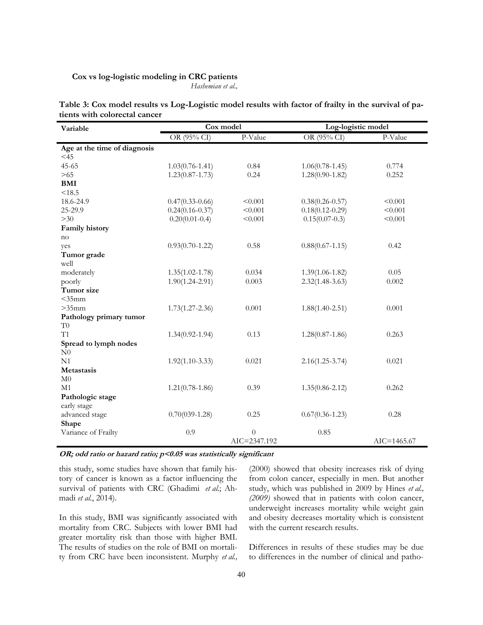*Hashemian et al.,*

| Table 3: Cox model results vs Log-Logistic model results with factor of frailty in the survival of pa- |  |  |
|--------------------------------------------------------------------------------------------------------|--|--|
| tients with colorectal cancer                                                                          |  |  |

| Variable                     | Cox model           |              | Log-logistic model  |                 |
|------------------------------|---------------------|--------------|---------------------|-----------------|
|                              | OR (95% CI)         | P-Value      | OR (95% CI)         | P-Value         |
| Age at the time of diagnosis |                     |              |                     |                 |
| $<$ 45                       |                     |              |                     |                 |
| $45 - 65$                    | $1.03(0.76 - 1.41)$ | 0.84         | $1.06(0.78-1.45)$   | 0.774           |
| >65                          | $1.23(0.87 - 1.73)$ | 0.24         | $1.28(0.90 - 1.82)$ | 0.252           |
| <b>BMI</b>                   |                     |              |                     |                 |
| < 18.5                       |                     |              |                     |                 |
| 18.6-24.9                    | $0.47(0.33-0.66)$   | < 0.001      | $0.38(0.26 - 0.57)$ | < 0.001         |
| 25-29.9                      | $0.24(0.16 - 0.37)$ | < 0.001      | $0.18(0.12 - 0.29)$ | < 0.001         |
| >30                          | $0.20(0.01 - 0.4)$  | < 0.001      | $0.15(0.07-0.3)$    | < 0.001         |
| Family history               |                     |              |                     |                 |
| no                           |                     |              |                     |                 |
| yes                          | $0.93(0.70-1.22)$   | 0.58         | $0.88(0.67 - 1.15)$ | 0.42            |
| Tumor grade                  |                     |              |                     |                 |
| well                         |                     |              |                     |                 |
| moderately                   | $1.35(1.02 - 1.78)$ | 0.034        | $1.39(1.06 - 1.82)$ | 0.05            |
| poorly                       | $1.90(1.24 - 2.91)$ | 0.003        | $2.32(1.48-3.63)$   | 0.002           |
| Tumor size                   |                     |              |                     |                 |
| $<$ 35mm                     |                     |              |                     |                 |
| $>35$ mm                     | $1.73(1.27 - 2.36)$ | 0.001        | $1.88(1.40 - 2.51)$ | 0.001           |
| Pathology primary tumor      |                     |              |                     |                 |
| T <sub>0</sub>               |                     |              |                     |                 |
| T1                           | $1.34(0.92 - 1.94)$ | 0.13         | $1.28(0.87-1.86)$   | 0.263           |
| Spread to lymph nodes        |                     |              |                     |                 |
| N <sub>0</sub>               |                     |              |                     |                 |
| N1                           | $1.92(1.10-3.33)$   | 0.021        | $2.16(1.25-3.74)$   | 0.021           |
| <b>Metastasis</b>            |                     |              |                     |                 |
| M <sub>0</sub>               |                     |              |                     |                 |
| M1                           | $1.21(0.78-1.86)$   | 0.39         | $1.35(0.86 - 2.12)$ | 0.262           |
| Pathologic stage             |                     |              |                     |                 |
| early stage                  |                     |              |                     |                 |
| advanced stage               | $0.70(039-1.28)$    | 0.25         | $0.67(0.36 - 1.23)$ | 0.28            |
| Shape                        |                     |              |                     |                 |
| Variance of Frailty          | 0.9                 | $\theta$     | 0.85                |                 |
|                              |                     | AIC=2347.192 |                     | $AIC = 1465.67$ |

**OR; odd ratio or hazard ratio; p<0.05 was statistically significant**

this study, some studies have shown that family history of cancer is known as a factor influencing the survival of patients with CRC (Ghadimi *et al.*; Ahmadi *et al.*, 2014).

In this study, BMI was significantly associated with mortality from CRC. Subjects with lower BMI had greater mortality risk than those with higher BMI. The results of studies on the role of BMI on mortality from CRC have been inconsistent. Murphy *et al.,*  (2000) showed that obesity increases risk of dying from colon cancer, especially in men. But another study, which was published in 2009 by Hines *et al., (2009)* showed that in patients with colon cancer, underweight increases mortality while weight gain and obesity decreases mortality which is consistent with the current research results.

Differences in results of these studies may be due to differences in the number of clinical and patho-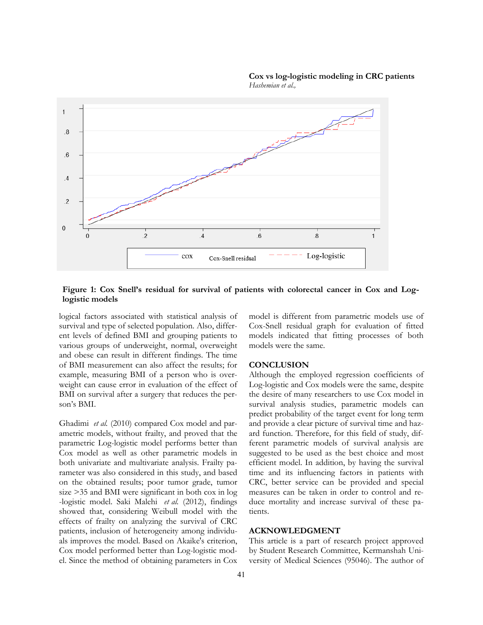#### **Cox vs log-logistic modeling in CRC patients**  *Hashemian et al.,*



### **Figure 1: Cox Snell's residual for survival of patients with colorectal cancer in Cox and Loglogistic models**

logical factors associated with statistical analysis of survival and type of selected population. Also, different levels of defined BMI and grouping patients to various groups of underweight, normal, overweight and obese can result in different findings. The time of BMI measurement can also affect the results; for example, measuring BMI of a person who is overweight can cause error in evaluation of the effect of BMI on survival after a surgery that reduces the person's BMI.

Ghadimi *et al.* (2010) compared Cox model and parametric models, without frailty, and proved that the parametric Log-logistic model performs better than Cox model as well as other parametric models in both univariate and multivariate analysis. Frailty parameter was also considered in this study, and based on the obtained results; poor tumor grade, tumor size >35 and BMI were significant in both cox in log -logistic model. Saki Malehi *et al.* (2012), findings showed that, considering Weibull model with the effects of frailty on analyzing the survival of CRC patients, inclusion of heterogeneity among individuals improves the model. Based on Akaike's criterion, Cox model performed better than Log-logistic model. Since the method of obtaining parameters in Cox model is different from parametric models use of Cox-Snell residual graph for evaluation of fitted models indicated that fitting processes of both models were the same.

### **CONCLUSION**

Although the employed regression coefficients of Log-logistic and Cox models were the same, despite the desire of many researchers to use Cox model in survival analysis studies, parametric models can predict probability of the target event for long term and provide a clear picture of survival time and hazard function. Therefore, for this field of study, different parametric models of survival analysis are suggested to be used as the best choice and most efficient model. In addition, by having the survival time and its influencing factors in patients with CRC, better service can be provided and special measures can be taken in order to control and reduce mortality and increase survival of these patients.

### **ACKNOWLEDGMENT**

This article is a part of research project approved by Student Research Committee, Kermanshah University of Medical Sciences (95046). The author of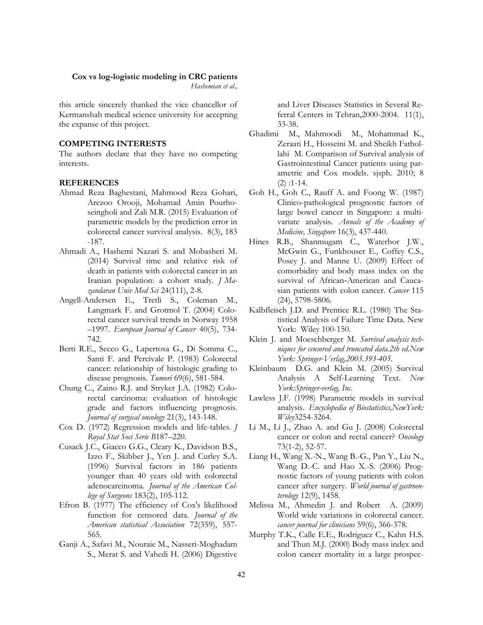*Hashemian et al.,*

this article sincerely thanked the vice chancellor of Kermanshah medical science university for accepting the expanse of this project.

### **COMPETING INTERESTS**

The authors declare that they have no competing interests.

### **REFERENCES**

- Ahmad Reza Baghestani, Mahmood Reza Gohari, Arezoo Orooji, Mohamad Amin Pourhoseingholi and Zali M.R. (2015) Evaluation of parametric models by the prediction error in colorectal cancer survival analysis. 8(3), 183 -187.
- Ahmadi A., Hashemi Nazari S. and Mobasheri M. (2014) Survival time and relative risk of death in patients with colorectal cancer in an Iranian population: a cohort study. *J Mazandaran Univ Med Sci* 24(111), 2-8.
- Angell-Andersen E., Tretli S., Coleman M., Langmark F. and Grotmol T. (2004) Colorectal cancer survival trends in Norway 1958 –1997. *European Journal of Cancer* 40(5), 734- 742.
- Berti R.E., Secco G., Lapertosa G., Di Somma C., Santi F. and Percivale P. (1983) Colorectal cancer: relationship of histologic grading to disease prognosis. *Tumori* 69(6), 581-584.
- Chung C., Zaino R.J. and Stryker J.A. (1982) Colorectal carcinoma: evaluation of histologic grade and factors influencing prognosis. *Journal of surgical oncology* 21(3), 143-148.
- Cox D. (1972) Regression models and life-tables. *J Royal Stat Soci Serie B*187–220.
- Cusack J.C., Giacco G.G., Cleary K., Davidson B.S., Izzo F., Skibber J., Yen J. and Curley S.A. (1996) Survival factors in 186 patients younger than 40 years old with colorectal adenocarcinoma. *Journal of the American College of Surgeons* 183(2), 105-112.
- Efron B. (1977) The efficiency of Cox's likelihood function for censored data. *Journal of the American statistical Association* 72(359), 557- 565.
- Ganji A., Safavi M., Nouraie M., Nasseri-Moghadam S., Merat S. and Vahedi H. (2006) Digestive

and Liver Diseases Statistics in Several Referral Centers in Tehran,2000-2004. 11(1), 33-38.

- Ghadimi M., Mahmoodi M., Mohammad K., Zeraati H., Hosseini M. and Sheikh Fathollahi M. Comparison of Survival analysis of Gastrointestinal Cancer patients using parametric and Cox models. sjsph. 2010; 8  $(2)$ :1-14.
- Goh H., Goh C., Rauff A. and Foong W. (1987) Clinico-pathological prognostic factors of large bowel cancer in Singapore: a multivariate analysis. *Annals of the Academy of Medicine, Singapore* 16(3), 437-440.
- Hines R.B., Shanmugam C., Waterbor J.W., McGwin G., Funkhouser E., Coffey C.S., Posey J. and Manne U. (2009) Effect of comorbidity and body mass index on the survival of African‐American and Caucasian patients with colon cancer. *Cancer* 115 (24), 5798-5806.
- Kalbfleisch J.D. and Prentice R.L. (1980) The Statistical Analysis of Failure Time Data. New York: Wiley 100-150.
- Klein J. and Moeschberger M. *Survival analysis techniques for censored and truncated data.2th ed.New York: Springer-Verlag,2003.393-405*.
- Kleinbaum D.G. and Klein M. (2005) Survival Analysis A Self-Learning Text. *New York:Springer-verlag, Inc*.
- Lawless J.F. (1998) Parametric models in survival analysis. *Encyclopedia of Biostatistics,NewYork: Wiley*3254-3264.
- Li M., Li J., Zhao A. and Gu J. (2008) Colorectal cancer or colon and rectal cancer? *Oncology* 73(1-2), 52-57.
- Liang H., Wang X.-N., Wang B.-G., Pan Y., Liu N., Wang D.-C. and Hao X.-S. (2006) Prognostic factors of young patients with colon cancer after surgery. *World journal of gastroenterology* 12(9), 1458.
- Melissa M., Ahmedin J. and Robert A. (2009) World wide variations in colorectal cancer. *cancer journal for clinicians* 59(6), 366-378.
- Murphy T.K., Calle E.E., Rodriguez C., Kahn H.S. and Thun M.J. (2000) Body mass index and colon cancer mortality in a large prospec-